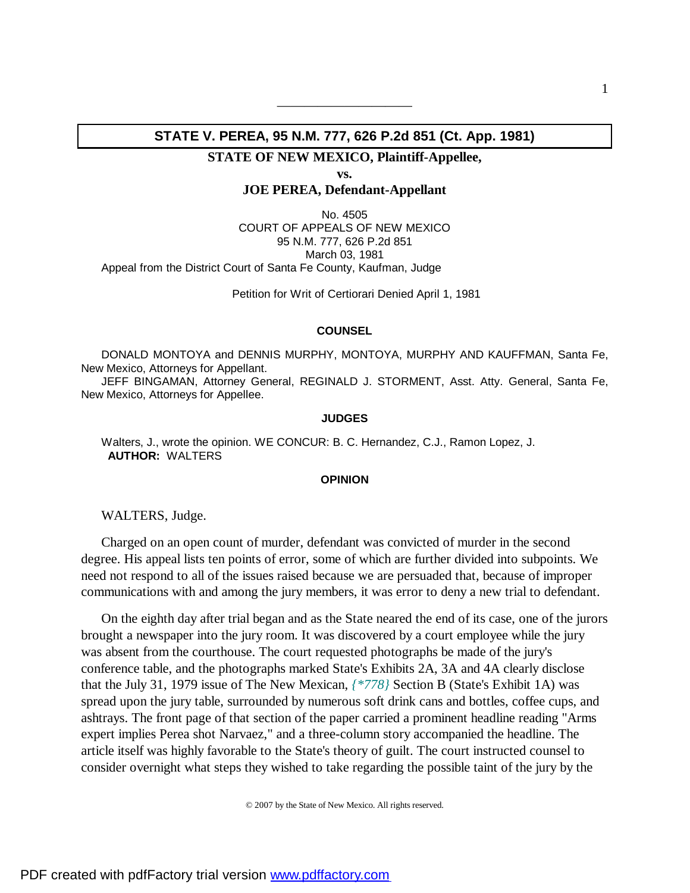## **STATE V. PEREA, 95 N.M. 777, 626 P.2d 851 (Ct. App. 1981)**

——————————

**STATE OF NEW MEXICO, Plaintiff-Appellee,** 

**vs.**

**JOE PEREA, Defendant-Appellant**

No. 4505 COURT OF APPEALS OF NEW MEXICO 95 N.M. 777, 626 P.2d 851 March 03, 1981 Appeal from the District Court of Santa Fe County, Kaufman, Judge

Petition for Writ of Certiorari Denied April 1, 1981

## **COUNSEL**

DONALD MONTOYA and DENNIS MURPHY, MONTOYA, MURPHY AND KAUFFMAN, Santa Fe, New Mexico, Attorneys for Appellant.

JEFF BINGAMAN, Attorney General, REGINALD J. STORMENT, Asst. Atty. General, Santa Fe, New Mexico, Attorneys for Appellee.

## **JUDGES**

Walters, J., wrote the opinion. WE CONCUR: B. C. Hernandez, C.J., Ramon Lopez, J.  **AUTHOR:** WALTERS

## **OPINION**

WALTERS, Judge.

Charged on an open count of murder, defendant was convicted of murder in the second degree. His appeal lists ten points of error, some of which are further divided into subpoints. We need not respond to all of the issues raised because we are persuaded that, because of improper communications with and among the jury members, it was error to deny a new trial to defendant.

On the eighth day after trial began and as the State neared the end of its case, one of the jurors brought a newspaper into the jury room. It was discovered by a court employee while the jury was absent from the courthouse. The court requested photographs be made of the jury's conference table, and the photographs marked State's Exhibits 2A, 3A and 4A clearly disclose that the July 31, 1979 issue of The New Mexican, *{\*778}* Section B (State's Exhibit 1A) was spread upon the jury table, surrounded by numerous soft drink cans and bottles, coffee cups, and ashtrays. The front page of that section of the paper carried a prominent headline reading "Arms expert implies Perea shot Narvaez," and a three-column story accompanied the headline. The article itself was highly favorable to the State's theory of guilt. The court instructed counsel to consider overnight what steps they wished to take regarding the possible taint of the jury by the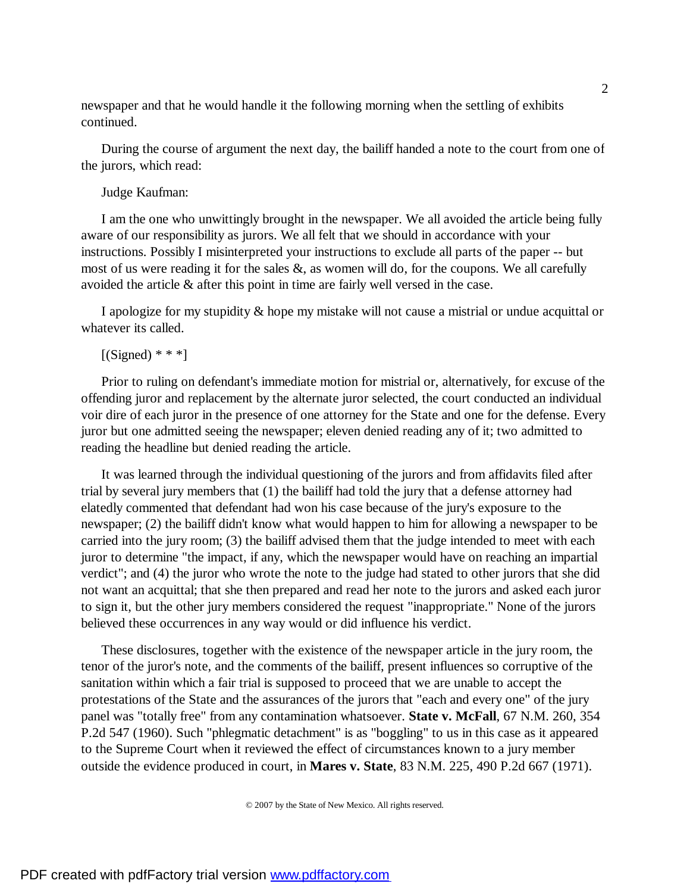newspaper and that he would handle it the following morning when the settling of exhibits continued.

During the course of argument the next day, the bailiff handed a note to the court from one of the jurors, which read:

Judge Kaufman:

I am the one who unwittingly brought in the newspaper. We all avoided the article being fully aware of our responsibility as jurors. We all felt that we should in accordance with your instructions. Possibly I misinterpreted your instructions to exclude all parts of the paper -- but most of us were reading it for the sales  $\&$ , as women will do, for the coupons. We all carefully avoided the article & after this point in time are fairly well versed in the case.

I apologize for my stupidity & hope my mistake will not cause a mistrial or undue acquittal or whatever its called.

```
[(Signed) ***]
```
Prior to ruling on defendant's immediate motion for mistrial or, alternatively, for excuse of the offending juror and replacement by the alternate juror selected, the court conducted an individual voir dire of each juror in the presence of one attorney for the State and one for the defense. Every juror but one admitted seeing the newspaper; eleven denied reading any of it; two admitted to reading the headline but denied reading the article.

It was learned through the individual questioning of the jurors and from affidavits filed after trial by several jury members that (1) the bailiff had told the jury that a defense attorney had elatedly commented that defendant had won his case because of the jury's exposure to the newspaper; (2) the bailiff didn't know what would happen to him for allowing a newspaper to be carried into the jury room; (3) the bailiff advised them that the judge intended to meet with each juror to determine "the impact, if any, which the newspaper would have on reaching an impartial verdict"; and (4) the juror who wrote the note to the judge had stated to other jurors that she did not want an acquittal; that she then prepared and read her note to the jurors and asked each juror to sign it, but the other jury members considered the request "inappropriate." None of the jurors believed these occurrences in any way would or did influence his verdict.

These disclosures, together with the existence of the newspaper article in the jury room, the tenor of the juror's note, and the comments of the bailiff, present influences so corruptive of the sanitation within which a fair trial is supposed to proceed that we are unable to accept the protestations of the State and the assurances of the jurors that "each and every one" of the jury panel was "totally free" from any contamination whatsoever. **State v. McFall**, 67 N.M. 260, 354 P.2d 547 (1960). Such "phlegmatic detachment" is as "boggling" to us in this case as it appeared to the Supreme Court when it reviewed the effect of circumstances known to a jury member outside the evidence produced in court, in **Mares v. State**, 83 N.M. 225, 490 P.2d 667 (1971).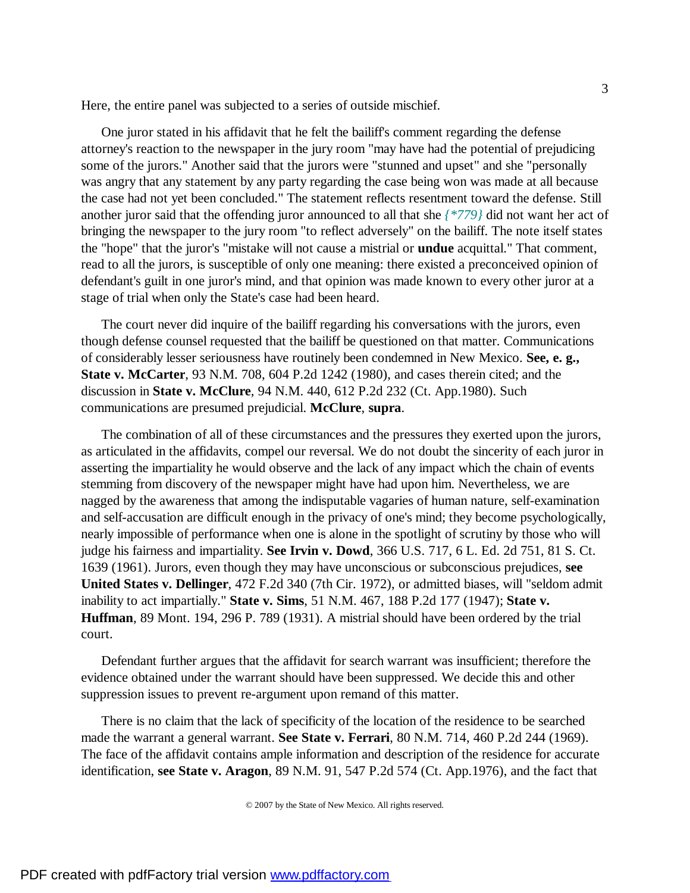Here, the entire panel was subjected to a series of outside mischief.

One juror stated in his affidavit that he felt the bailiff's comment regarding the defense attorney's reaction to the newspaper in the jury room "may have had the potential of prejudicing some of the jurors." Another said that the jurors were "stunned and upset" and she "personally was angry that any statement by any party regarding the case being won was made at all because the case had not yet been concluded." The statement reflects resentment toward the defense. Still another juror said that the offending juror announced to all that she *{\*779}* did not want her act of bringing the newspaper to the jury room "to reflect adversely" on the bailiff. The note itself states the "hope" that the juror's "mistake will not cause a mistrial or **undue** acquittal." That comment, read to all the jurors, is susceptible of only one meaning: there existed a preconceived opinion of defendant's guilt in one juror's mind, and that opinion was made known to every other juror at a stage of trial when only the State's case had been heard.

The court never did inquire of the bailiff regarding his conversations with the jurors, even though defense counsel requested that the bailiff be questioned on that matter. Communications of considerably lesser seriousness have routinely been condemned in New Mexico. **See, e. g., State v. McCarter**, 93 N.M. 708, 604 P.2d 1242 (1980), and cases therein cited; and the discussion in **State v. McClure**, 94 N.M. 440, 612 P.2d 232 (Ct. App.1980). Such communications are presumed prejudicial. **McClure**, **supra**.

The combination of all of these circumstances and the pressures they exerted upon the jurors, as articulated in the affidavits, compel our reversal. We do not doubt the sincerity of each juror in asserting the impartiality he would observe and the lack of any impact which the chain of events stemming from discovery of the newspaper might have had upon him. Nevertheless, we are nagged by the awareness that among the indisputable vagaries of human nature, self-examination and self-accusation are difficult enough in the privacy of one's mind; they become psychologically, nearly impossible of performance when one is alone in the spotlight of scrutiny by those who will judge his fairness and impartiality. **See Irvin v. Dowd**, 366 U.S. 717, 6 L. Ed. 2d 751, 81 S. Ct. 1639 (1961). Jurors, even though they may have unconscious or subconscious prejudices, **see United States v. Dellinger**, 472 F.2d 340 (7th Cir. 1972), or admitted biases, will "seldom admit inability to act impartially." **State v. Sims**, 51 N.M. 467, 188 P.2d 177 (1947); **State v. Huffman**, 89 Mont. 194, 296 P. 789 (1931). A mistrial should have been ordered by the trial court.

Defendant further argues that the affidavit for search warrant was insufficient; therefore the evidence obtained under the warrant should have been suppressed. We decide this and other suppression issues to prevent re-argument upon remand of this matter.

There is no claim that the lack of specificity of the location of the residence to be searched made the warrant a general warrant. **See State v. Ferrari**, 80 N.M. 714, 460 P.2d 244 (1969). The face of the affidavit contains ample information and description of the residence for accurate identification, **see State v. Aragon**, 89 N.M. 91, 547 P.2d 574 (Ct. App.1976), and the fact that